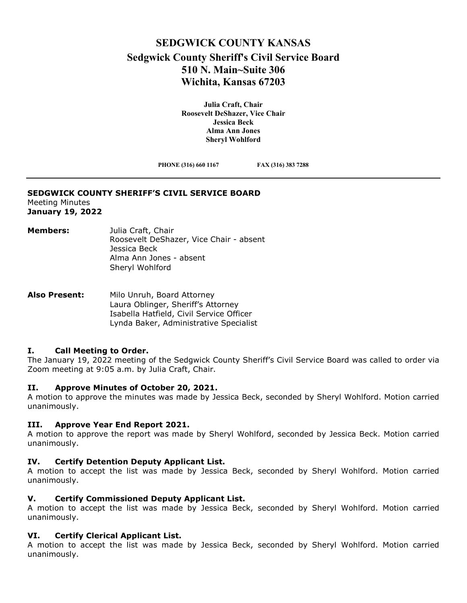# **SEDGWICK COUNTY KANSAS Sedgwick County Sheriff's Civil Service Board 510 N. Main~Suite 306 Wichita, Kansas 67203**

**Julia Craft, Chair Roosevelt DeShazer, Vice Chair Jessica Beck Alma Ann Jones Sheryl Wohlford** 

**PHONE (316) 660 1167 FAX (316) 383 7288**

#### **SEDGWICK COUNTY SHERIFF'S CIVIL SERVICE BOARD** Meeting Minutes

**January 19, 2022**

#### **Members:** Julia Craft, Chair Roosevelt DeShazer, Vice Chair - absent Jessica Beck Alma Ann Jones - absent Sheryl Wohlford

#### **Also Present:** Milo Unruh, Board Attorney Laura Oblinger, Sheriff's Attorney Isabella Hatfield, Civil Service Officer Lynda Baker, Administrative Specialist

### **I. Call Meeting to Order.**

The January 19, 2022 meeting of the Sedgwick County Sheriff's Civil Service Board was called to order via Zoom meeting at 9:05 a.m. by Julia Craft, Chair.

### **II. Approve Minutes of October 20, 2021.**

A motion to approve the minutes was made by Jessica Beck, seconded by Sheryl Wohlford. Motion carried unanimously.

### **III. Approve Year End Report 2021.**

A motion to approve the report was made by Sheryl Wohlford, seconded by Jessica Beck. Motion carried unanimously.

### **IV. Certify Detention Deputy Applicant List.**

A motion to accept the list was made by Jessica Beck, seconded by Sheryl Wohlford. Motion carried unanimously.

## **V. Certify Commissioned Deputy Applicant List.**

A motion to accept the list was made by Jessica Beck, seconded by Sheryl Wohlford. Motion carried unanimously.

## **VI. Certify Clerical Applicant List.**

A motion to accept the list was made by Jessica Beck, seconded by Sheryl Wohlford. Motion carried unanimously.